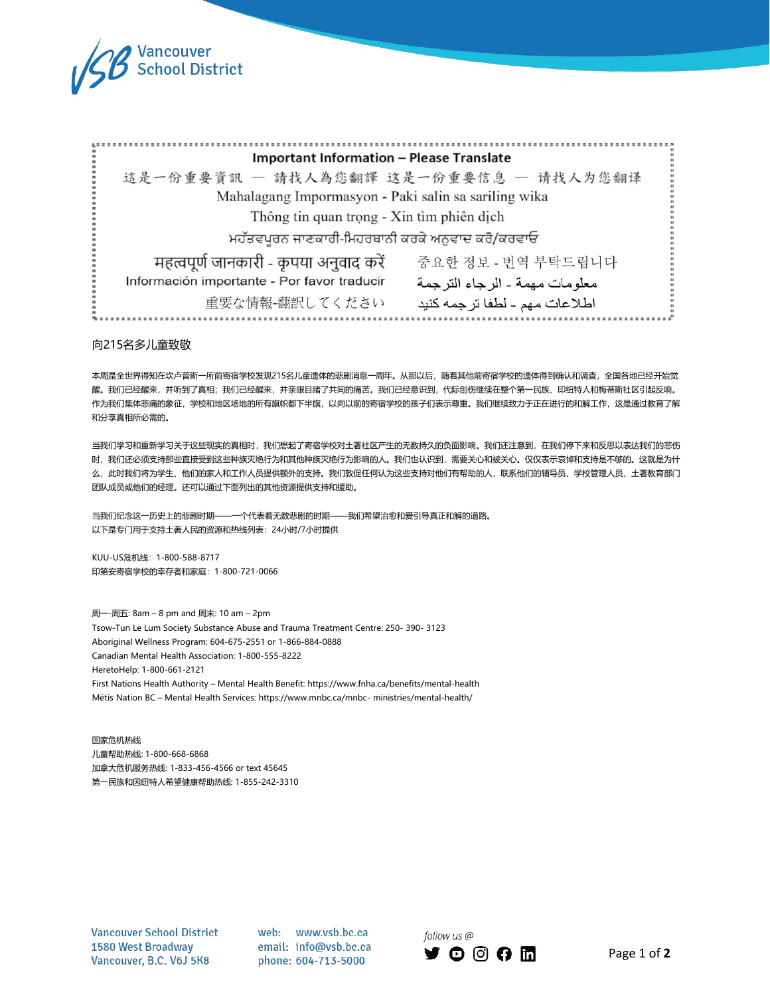

| <b>Important Information - Please Translate</b>      |                                  |
|------------------------------------------------------|----------------------------------|
| 這是一份重要資訊 - 請找人為您翻譯 这是一份重要信息 - 请找人为您翻译                |                                  |
| Mahalagang Impormasyon - Paki salin sa sariling wika |                                  |
| Thông tin quan trọng - Xin tìm phiên dịch            |                                  |
| ਮਹੱਤਵਪੂਰਨ ਜਾਣਕਾਰੀ-ਮਿਹਰਬਾਨੀ ਕਰਕੇ ਅਨੁਵਾਦ ਕਰੋ/ਕਰਵਾਓ     |                                  |
| महत्वपूर्ण जानकारी - कृपया अनुवाद करें               | 중요한 정보 - 번역 부탁드립니다               |
| Información importante - Por favor traducir          | معلو مات مهمة ـ الر جاء التر جمة |
| 重要な情報-翻訳してください                                       | اطلاعات مهم - لطفا تر جمه كنيد   |
|                                                      |                                  |

#### 向215名多儿童致敬

本周是全世界得知在坎卢普斯一所前寄宿学校发现215名儿童遗体的悲剧消息一周年。从那以后,随着其他前寄宿学校的遗体得到确认和调查,全国各地已经开始觉 醒。我们已经醒来,并听到了真相;我们已经醒来,并亲眼目睹了共同的痛苦。我们已经意识到,代际创伤继续在整个第一民族、印纽特人和梅蒂斯社区引起反响。 作为我们集体悲痛的象征,学校和地区场地的所有旗帜都下半旗,以向以前的寄宿学校的孩子们表示尊重。我们继续致力于正在进行的和解工作,这是通过教育了解 和分享真相所必需的。

当我们学习和重新学习关于这些现实的真相时,我们想起了寄宿学校对土著社区产生的无数持久的负面影响。我们还注意到,在我们停下来和反思以表达我们的悲伤 时,我们还必须支持那些直接受到这些种族灭绝行为和其他种族灭绝行为影响的人。我们也认识到,需要关心和被关心。仅仅表示哀悼和支持是不够的。这就是为什 么,此时我们将为学生、他们的家人和工作人员提供额外的支持。我们敦促任何认为这些支持对他们有帮助的人,联系他们的辅导员、学校管理人员、土著教育部门 团队成员或他们的经理。还可以通过下面列出的其他资源提供支持和援助。

当我们纪念这一历史上的悲剧时期——一个代表着无数悲剧的时期——我们希望治愈和爱引导真正和解的道路。 以下是专门用于支持土著人民的资源和热线列表:24小时/7小时提供

KUU-US危机线:1-800-588-8717 印第安寄宿学校的幸存者和家庭:1-800-721-0066

周一-周五: 8am – 8 pm and周末:10 am – 2pm Tsow-Tun Le Lum Society Substance Abuse and Trauma Treatment Centre: 250- 390- 3123 Aboriginal Wellness Program: 604-675-2551 or 1-866-884-0888 Canadian Mental Health Association: 1-800-555-8222 HeretoHelp: 1-800-661-2121 First Nations Health Authority – Mental Health Benefit: <https://www.fnha.ca/benefits/mental-health> Métis Nation BC – Mental Health Services: [https://www.mnbc.ca/mnbc-](https://www.mnbc.ca/mnbc-ministries/mental-health/) [ministries/mental-health/](https://www.mnbc.ca/mnbc-ministries/mental-health/)

国家危机热线 儿童帮助热线: 1-800-668-6868 加拿大危机服务热线: 1-833-456-4566 or text 45645 第一民族和因纽特人希望健康帮助热线: 1-855-242-3310

**Vancouver School District** 1580 West Broadway Vancouver, B.C. V6J 5K8

web: www.vsb.bc.ca email: info@vsb.bc.ca phone: 604-713-5000

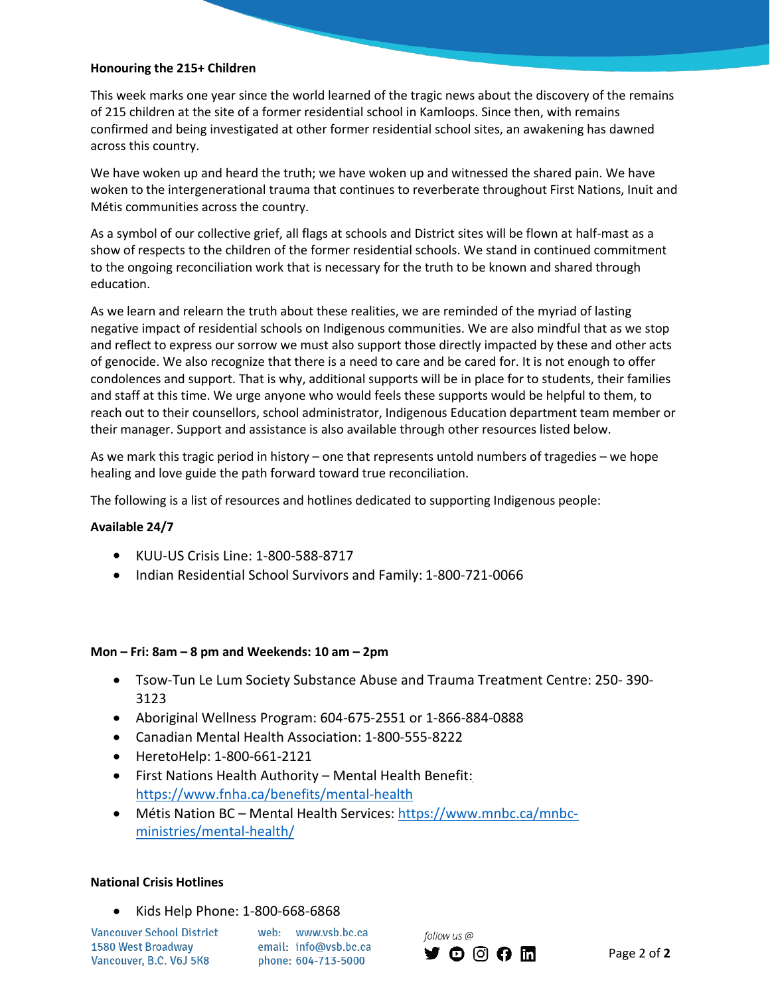### **Honouring the 215+ Children**

This week marks one year since the world learned of the tragic news about the discovery of the remains of 215 children at the site of a former residential school in Kamloops. Since then, with remains confirmed and being investigated at other former residential school sites, an awakening has dawned across this country.

We have woken up and heard the truth; we have woken up and witnessed the shared pain. We have woken to the intergenerational trauma that continues to reverberate throughout First Nations, Inuit and Métis communities across the country.

As a symbol of our collective grief, all flags at schools and District sites will be flown at half-mast as a show of respects to the children of the former residential schools. We stand in continued commitment to the ongoing reconciliation work that is necessary for the truth to be known and shared through education.

As we learn and relearn the truth about these realities, we are reminded of the myriad of lasting negative impact of residential schools on Indigenous communities. We are also mindful that as we stop and reflect to express our sorrow we must also support those directly impacted by these and other acts of genocide. We also recognize that there is a need to care and be cared for. It is not enough to offer condolences and support. That is why, additional supports will be in place for to students, their families and staff at this time. We urge anyone who would feels these supports would be helpful to them, to reach out to their counsellors, school administrator, Indigenous Education department team member or their manager. Support and assistance is also available through other resources listed below.

As we mark this tragic period in history – one that represents untold numbers of tragedies – we hope healing and love guide the path forward toward true reconciliation.

The following is a list of resources and hotlines dedicated to supporting Indigenous people:

# **Available 24/7**

- KUU-US Crisis Line: 1-800-588-8717
- Indian Residential School Survivors and Family: 1-800-721-0066

#### **Mon –Fri: 8am – 8 pm and Weekends: 10 am – 2pm**

- Tsow-Tun Le Lum Society Substance Abuse and Trauma Treatment Centre: 250- 390- 3123
- Aboriginal Wellness Program: 604-675-2551 or 1-866-884-0888
- Canadian Mental Health Association: 1-800-555-8222
- HeretoHelp: 1-800-661-2121
- First Nations Health Authority Mental Health Benefit: <https://www.fnha.ca/benefits/mental-health>
- Métis Nation BC Mental Health Services: [https://www.mnbc.ca/mnbc](https://www.mnbc.ca/mnbc-ministries/mental-health/) ministries/mental-health/

# **National Crisis Hotlines**

Kids Help Phone: 1-800-668-6868

**Vancouver School District** 1580 West Broadway Vancouver, B.C. V6J 5K8

web: www.vsb.bc.ca email: info@vsb.bc.ca phone: 604-713-5000

follow us @ **YOOOM**